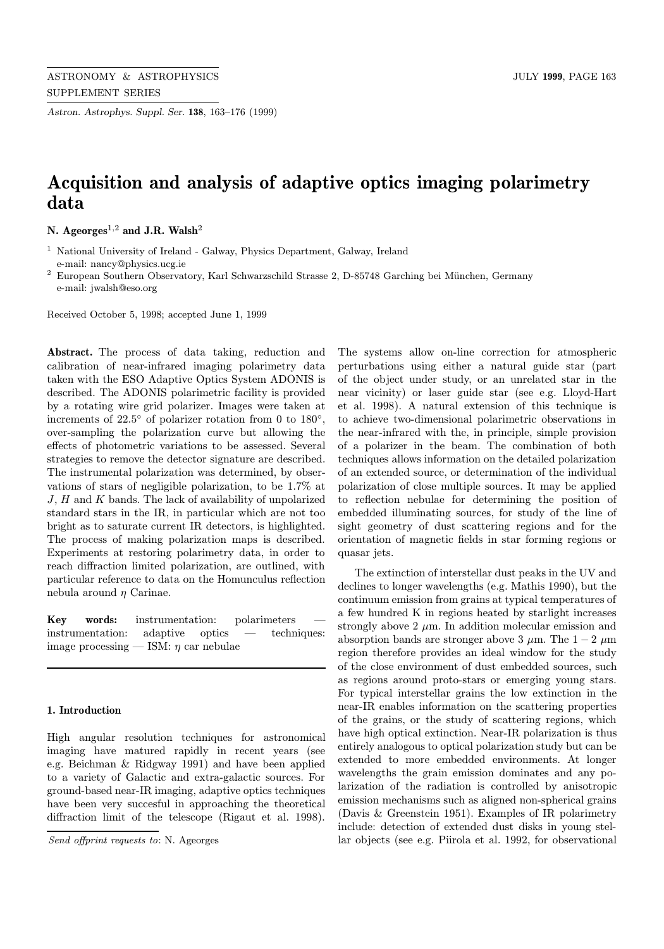Astron. Astrophys. Suppl. Ser. 138, 163–176 (1999)

# Acquisition and analysis of adaptive optics imaging polarimetry data

N. Ageorges<sup>1,2</sup> and J.R. Walsh<sup>2</sup>

<sup>1</sup> National University of Ireland - Galway, Physics Department, Galway, Ireland e-mail: nancy@physics.ucg.ie

 $^{\rm 2}$  European Southern Observatory, Karl Schwarzschild Strasse 2, D-85748 Garching bei München, Germany e-mail: jwalsh@eso.org

Received October 5, 1998; accepted June 1, 1999

Abstract. The process of data taking, reduction and calibration of near-infrared imaging polarimetry data taken with the ESO Adaptive Optics System ADONIS is described. The ADONIS polarimetric facility is provided by a rotating wire grid polarizer. Images were taken at increments of 22.5◦ of polarizer rotation from 0 to 180◦, over-sampling the polarization curve but allowing the effects of photometric variations to be assessed. Several strategies to remove the detector signature are described. The instrumental polarization was determined, by observations of stars of negligible polarization, to be 1.7% at J, H and K bands. The lack of availability of unpolarized standard stars in the IR, in particular which are not too bright as to saturate current IR detectors, is highlighted. The process of making polarization maps is described. Experiments at restoring polarimetry data, in order to reach diffraction limited polarization, are outlined, with particular reference to data on the Homunculus reflection nebula around  $\eta$  Carinae.

Key words: instrumentation: polarimeters instrumentation: adaptive optics — techniques: image processing — ISM:  $\eta$  car nebulae

## 1. Introduction

High angular resolution techniques for astronomical imaging have matured rapidly in recent years (see e.g. Beichman & Ridgway 1991) and have been applied to a variety of Galactic and extra-galactic sources. For ground-based near-IR imaging, adaptive optics techniques have been very succesful in approaching the theoretical diffraction limit of the telescope (Rigaut et al. 1998).

The systems allow on-line correction for atmospheric perturbations using either a natural guide star (part of the object under study, or an unrelated star in the near vicinity) or laser guide star (see e.g. Lloyd-Hart et al. 1998). A natural extension of this technique is to achieve two-dimensional polarimetric observations in the near-infrared with the, in principle, simple provision of a polarizer in the beam. The combination of both techniques allows information on the detailed polarization of an extended source, or determination of the individual polarization of close multiple sources. It may be applied to reflection nebulae for determining the position of embedded illuminating sources, for study of the line of sight geometry of dust scattering regions and for the orientation of magnetic fields in star forming regions or quasar jets.

The extinction of interstellar dust peaks in the UV and declines to longer wavelengths (e.g. Mathis 1990), but the continuum emission from grains at typical temperatures of a few hundred K in regions heated by starlight increases strongly above 2  $\mu$ m. In addition molecular emission and absorption bands are stronger above 3  $\mu$ m. The 1 − 2  $\mu$ m region therefore provides an ideal window for the study of the close environment of dust embedded sources, such as regions around proto-stars or emerging young stars. For typical interstellar grains the low extinction in the near-IR enables information on the scattering properties of the grains, or the study of scattering regions, which have high optical extinction. Near-IR polarization is thus entirely analogous to optical polarization study but can be extended to more embedded environments. At longer wavelengths the grain emission dominates and any polarization of the radiation is controlled by anisotropic emission mechanisms such as aligned non-spherical grains (Davis & Greenstein 1951). Examples of IR polarimetry include: detection of extended dust disks in young stellar objects (see e.g. Piirola et al. 1992, for observational

Send offprint requests to: N. Ageorges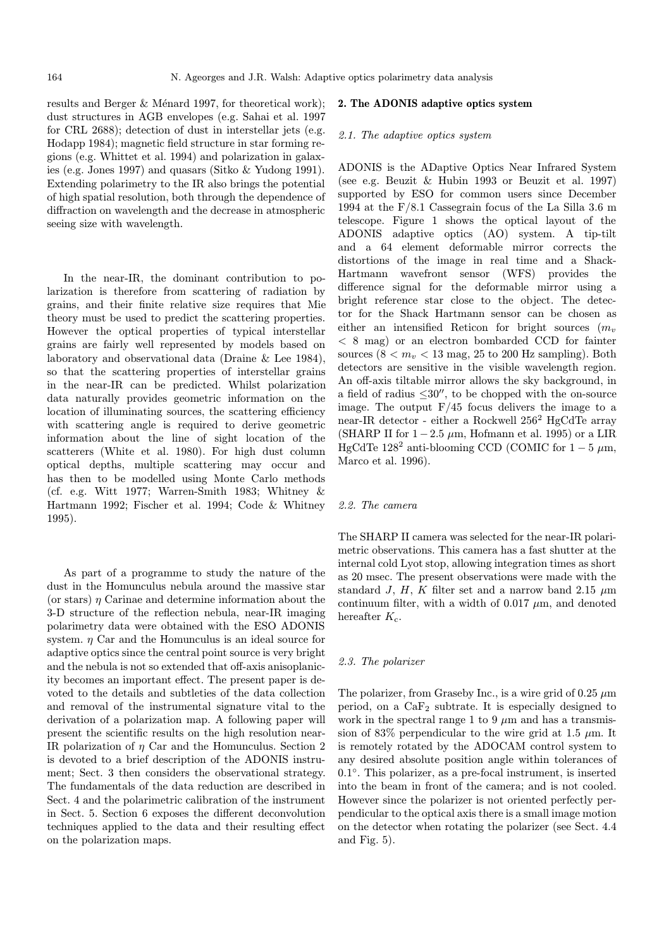results and Berger  $&$  Ménard 1997, for theoretical work); dust structures in AGB envelopes (e.g. Sahai et al. 1997 for CRL 2688); detection of dust in interstellar jets (e.g. Hodapp 1984); magnetic field structure in star forming regions (e.g. Whittet et al. 1994) and polarization in galaxies (e.g. Jones 1997) and quasars (Sitko & Yudong 1991). Extending polarimetry to the IR also brings the potential of high spatial resolution, both through the dependence of diffraction on wavelength and the decrease in atmospheric seeing size with wavelength.

In the near-IR, the dominant contribution to polarization is therefore from scattering of radiation by grains, and their finite relative size requires that Mie theory must be used to predict the scattering properties. However the optical properties of typical interstellar grains are fairly well represented by models based on laboratory and observational data (Draine & Lee 1984), so that the scattering properties of interstellar grains in the near-IR can be predicted. Whilst polarization data naturally provides geometric information on the location of illuminating sources, the scattering efficiency with scattering angle is required to derive geometric information about the line of sight location of the scatterers (White et al. 1980). For high dust column optical depths, multiple scattering may occur and has then to be modelled using Monte Carlo methods (cf. e.g. Witt 1977; Warren-Smith 1983; Whitney & Hartmann 1992; Fischer et al. 1994; Code & Whitney 1995).

As part of a programme to study the nature of the dust in the Homunculus nebula around the massive star (or stars)  $\eta$  Carinae and determine information about the 3-D structure of the reflection nebula, near-IR imaging polarimetry data were obtained with the ESO ADONIS system.  $\eta$  Car and the Homunculus is an ideal source for adaptive optics since the central point source is very bright and the nebula is not so extended that off-axis anisoplanicity becomes an important effect. The present paper is devoted to the details and subtleties of the data collection and removal of the instrumental signature vital to the derivation of a polarization map. A following paper will present the scientific results on the high resolution near-IR polarization of η Car and the Homunculus. Section 2 is devoted to a brief description of the ADONIS instrument; Sect. 3 then considers the observational strategy. The fundamentals of the data reduction are described in Sect. 4 and the polarimetric calibration of the instrument in Sect. 5. Section 6 exposes the different deconvolution techniques applied to the data and their resulting effect on the polarization maps.

## 2. The ADONIS adaptive optics system

# 2.1. The adaptive optics system

ADONIS is the ADaptive Optics Near Infrared System (see e.g. Beuzit & Hubin 1993 or Beuzit et al. 1997) supported by ESO for common users since December 1994 at the F/8.1 Cassegrain focus of the La Silla 3.6 m telescope. Figure 1 shows the optical layout of the ADONIS adaptive optics (AO) system. A tip-tilt and a 64 element deformable mirror corrects the distortions of the image in real time and a Shack-Hartmann wavefront sensor (WFS) provides the difference signal for the deformable mirror using a bright reference star close to the object. The detector for the Shack Hartmann sensor can be chosen as either an intensified Reticon for bright sources  $(m_v)$ < 8 mag) or an electron bombarded CCD for fainter sources  $(8 < m_v < 13$  mag, 25 to 200 Hz sampling). Both detectors are sensitive in the visible wavelength region. An off-axis tiltable mirror allows the sky background, in a field of radius  $\leq 30''$ , to be chopped with the on-source image. The output  $F/45$  focus delivers the image to a near-IR detector - either a Rockwell 256<sup>2</sup> HgCdTe array (SHARP II for  $1-2.5 \mu m$ , Hofmann et al. 1995) or a LIR HgCdTe 128<sup>2</sup> anti-blooming CCD (COMIC for  $1-5 \mu m$ , Marco et al. 1996).

#### 2.2. The camera

The SHARP II camera was selected for the near-IR polarimetric observations. This camera has a fast shutter at the internal cold Lyot stop, allowing integration times as short as 20 msec. The present observations were made with the standard J, H, K filter set and a narrow band 2.15  $\mu$ m continuum filter, with a width of  $0.017 \mu m$ , and denoted hereafter  $K_c$ .

#### 2.3. The polarizer

The polarizer, from Graseby Inc., is a wire grid of  $0.25 \mu m$ period, on a  $CaF<sub>2</sub>$  subtrate. It is especially designed to work in the spectral range 1 to 9  $\mu$ m and has a transmission of 83% perpendicular to the wire grid at 1.5  $\mu$ m. It is remotely rotated by the ADOCAM control system to any desired absolute position angle within tolerances of 0.1◦. This polarizer, as a pre-focal instrument, is inserted into the beam in front of the camera; and is not cooled. However since the polarizer is not oriented perfectly perpendicular to the optical axis there is a small image motion on the detector when rotating the polarizer (see Sect. 4.4 and Fig. 5).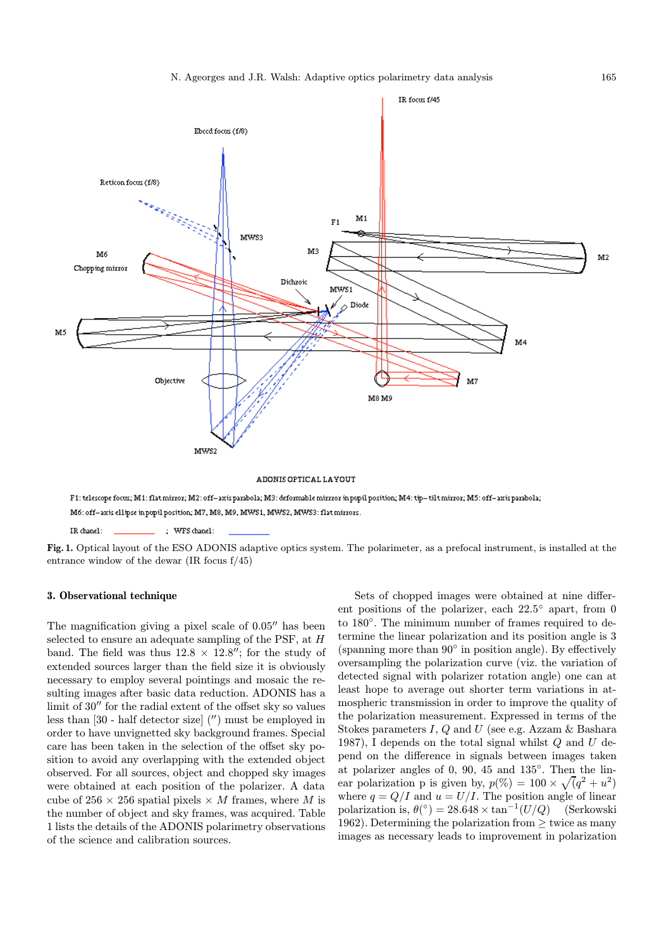

ADONIS OPTICAL LAYOUT

F1: telescope focus; M1: flat mirror; M2: off-axis parabola; M3: deformable mirrror in pupil position; M4: tip-tilt mirror; M5: off-axis parabola; M6: off-axis ellipse inpupil position; M7, M8, M9, MWS1, MWS2, MWS3: flat mirrors.

IR chanel: ; WFS chanel:

Fig. 1. Optical layout of the ESO ADONIS adaptive optics system. The polarimeter, as a prefocal instrument, is installed at the entrance window of the dewar (IR focus f/45)

# 3. Observational technique

The magnification giving a pixel scale of  $0.05$ <sup> $\prime\prime$ </sup> has been selected to ensure an adequate sampling of the PSF, at H band. The field was thus  $12.8 \times 12.8''$ ; for the study of extended sources larger than the field size it is obviously necessary to employ several pointings and mosaic the resulting images after basic data reduction. ADONIS has a limit of  $30''$  for the radial extent of the offset sky so values less than  $[30$  - half detector size $($  $'')$  must be employed in order to have unvignetted sky background frames. Special care has been taken in the selection of the offset sky position to avoid any overlapping with the extended object observed. For all sources, object and chopped sky images were obtained at each position of the polarizer. A data cube of 256  $\times$  256 spatial pixels  $\times$  *M* frames, where *M* is the number of object and sky frames, was acquired. Table 1 lists the details of the ADONIS polarimetry observations of the science and calibration sources.

Sets of chopped images were obtained at nine different positions of the polarizer, each 22.5◦ apart, from 0 to 180◦. The minimum number of frames required to determine the linear polarization and its position angle is 3 (spanning more than  $90°$  in position angle). By effectively oversampling the polarization curve (viz. the variation of detected signal with polarizer rotation angle) one can at least hope to average out shorter term variations in atmospheric transmission in order to improve the quality of the polarization measurement. Expressed in terms of the Stokes parameters  $I, Q$  and  $U$  (see e.g. Azzam  $\&$  Bashara 1987), I depends on the total signal whilst  $Q$  and  $U$  depend on the difference in signals between images taken at polarizer angles of 0, 90, 45 and 135◦. Then the linear polarization p is given by,  $p(\%) = 100 \times \sqrt{q^2 + u^2}$ where  $q = Q/I$  and  $u = U/I$ . The position angle of linear polarization is,  $\theta$ (°) = 28.648 × tan<sup>-1</sup>(U/Q) (Serkowski 1962). Determining the polarization from  $\geq$  twice as many images as necessary leads to improvement in polarization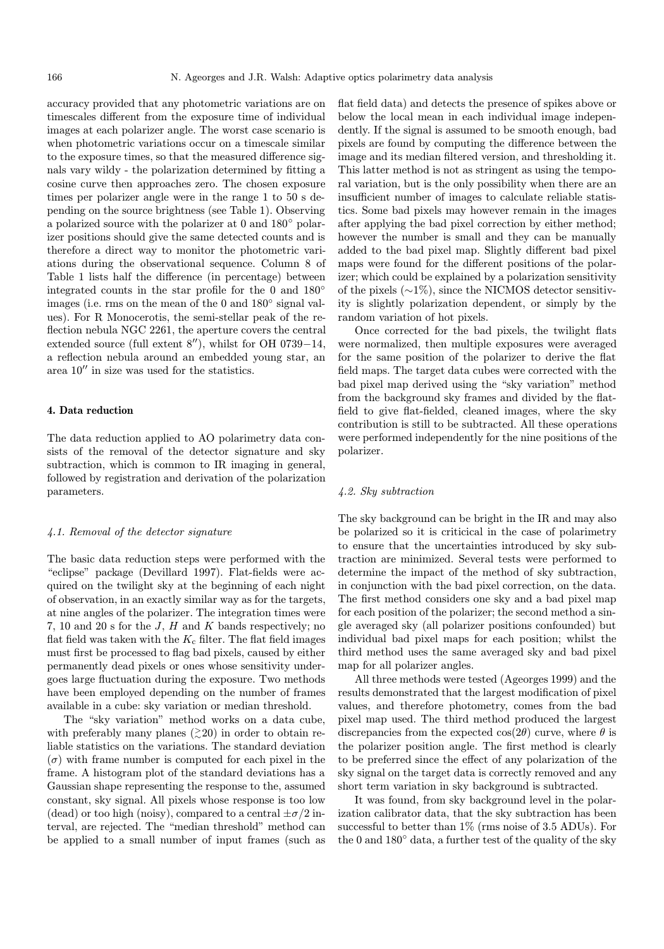accuracy provided that any photometric variations are on timescales different from the exposure time of individual images at each polarizer angle. The worst case scenario is when photometric variations occur on a timescale similar to the exposure times, so that the measured difference signals vary wildy - the polarization determined by fitting a cosine curve then approaches zero. The chosen exposure times per polarizer angle were in the range 1 to 50 s depending on the source brightness (see Table 1). Observing a polarized source with the polarizer at 0 and 180◦ polarizer positions should give the same detected counts and is therefore a direct way to monitor the photometric variations during the observational sequence. Column 8 of Table 1 lists half the difference (in percentage) between integrated counts in the star profile for the 0 and 180◦ images (i.e. rms on the mean of the 0 and 180◦ signal values). For R Monocerotis, the semi-stellar peak of the reflection nebula NGC 2261, the aperture covers the central extended source (full extent  $8''$ ), whilst for OH 0739−14, a reflection nebula around an embedded young star, an area  $10''$  in size was used for the statistics.

## 4. Data reduction

The data reduction applied to AO polarimetry data consists of the removal of the detector signature and sky subtraction, which is common to IR imaging in general, followed by registration and derivation of the polarization parameters.

#### 4.1. Removal of the detector signature

The basic data reduction steps were performed with the "eclipse" package (Devillard 1997). Flat-fields were acquired on the twilight sky at the beginning of each night of observation, in an exactly similar way as for the targets, at nine angles of the polarizer. The integration times were 7, 10 and 20 s for the J, H and K bands respectively; no flat field was taken with the  $K_c$  filter. The flat field images must first be processed to flag bad pixels, caused by either permanently dead pixels or ones whose sensitivity undergoes large fluctuation during the exposure. Two methods have been employed depending on the number of frames available in a cube: sky variation or median threshold.

The "sky variation" method works on a data cube, with preferably many planes  $(≥20)$  in order to obtain reliable statistics on the variations. The standard deviation  $(\sigma)$  with frame number is computed for each pixel in the frame. A histogram plot of the standard deviations has a Gaussian shape representing the response to the, assumed constant, sky signal. All pixels whose response is too low (dead) or too high (noisy), compared to a central  $\pm \sigma/2$  interval, are rejected. The "median threshold" method can be applied to a small number of input frames (such as flat field data) and detects the presence of spikes above or below the local mean in each individual image independently. If the signal is assumed to be smooth enough, bad pixels are found by computing the difference between the image and its median filtered version, and thresholding it. This latter method is not as stringent as using the temporal variation, but is the only possibility when there are an insufficient number of images to calculate reliable statistics. Some bad pixels may however remain in the images after applying the bad pixel correction by either method; however the number is small and they can be manually added to the bad pixel map. Slightly different bad pixel maps were found for the different positions of the polarizer; which could be explained by a polarization sensitivity of the pixels (∼1%), since the NICMOS detector sensitivity is slightly polarization dependent, or simply by the random variation of hot pixels.

Once corrected for the bad pixels, the twilight flats were normalized, then multiple exposures were averaged for the same position of the polarizer to derive the flat field maps. The target data cubes were corrected with the bad pixel map derived using the "sky variation" method from the background sky frames and divided by the flatfield to give flat-fielded, cleaned images, where the sky contribution is still to be subtracted. All these operations were performed independently for the nine positions of the polarizer.

## 4.2. Sky subtraction

The sky background can be bright in the IR and may also be polarized so it is criticical in the case of polarimetry to ensure that the uncertainties introduced by sky subtraction are minimized. Several tests were performed to determine the impact of the method of sky subtraction, in conjunction with the bad pixel correction, on the data. The first method considers one sky and a bad pixel map for each position of the polarizer; the second method a single averaged sky (all polarizer positions confounded) but individual bad pixel maps for each position; whilst the third method uses the same averaged sky and bad pixel map for all polarizer angles.

All three methods were tested (Ageorges 1999) and the results demonstrated that the largest modification of pixel values, and therefore photometry, comes from the bad pixel map used. The third method produced the largest discrepancies from the expected  $cos(2\theta)$  curve, where  $\theta$  is the polarizer position angle. The first method is clearly to be preferred since the effect of any polarization of the sky signal on the target data is correctly removed and any short term variation in sky background is subtracted.

It was found, from sky background level in the polarization calibrator data, that the sky subtraction has been successful to better than 1% (rms noise of 3.5 ADUs). For the 0 and 180◦ data, a further test of the quality of the sky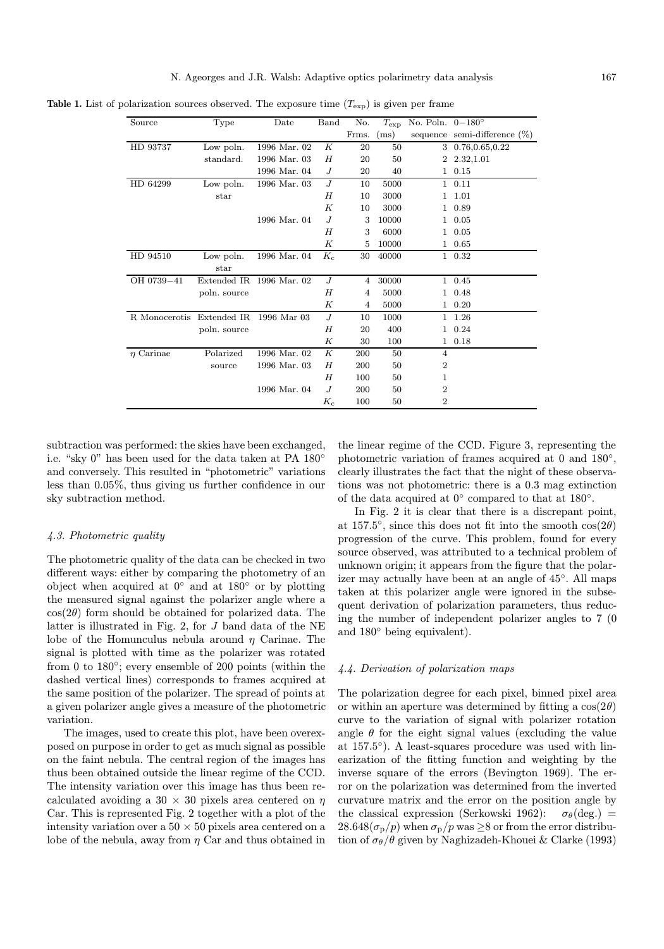**Table 1.** List of polarization sources observed. The exposure time  $(T_{\text{exp}})$  is given per frame

| Source         | Type         | Date         | Band        | No.            |       | $T_{\rm exp}$ No. Poln. $0-180^\circ$ |                                 |
|----------------|--------------|--------------|-------------|----------------|-------|---------------------------------------|---------------------------------|
|                |              |              |             | Frms.          | (ms)  |                                       | sequence semi-difference $(\%)$ |
| HD 93737       | Low poln.    | 1996 Mar. 02 | K           | 20             | 50    | 3                                     | 0.76,0.65,0.22                  |
|                | standard.    | 1996 Mar. 03 | H           | 20             | 50    | $\overline{2}$                        | 2.32,1.01                       |
|                |              | 1996 Mar. 04 | J           | 20             | 40    | $\mathbf{1}$                          | 0.15                            |
| HD 64299       | Low poln.    | 1996 Mar. 03 | J           | 10             | 5000  |                                       | 1 0.11                          |
|                | star         |              | H           | 10             | 3000  | $\mathbf{1}$                          | 1.01                            |
|                |              |              | K           | 10             | 3000  |                                       | 1 0.89                          |
|                |              | 1996 Mar. 04 | $J_{\cdot}$ | 3              | 10000 |                                       | 1 0.05                          |
|                |              |              | H           | 3              | 6000  |                                       | 1 0.05                          |
|                |              |              | K           | 5              | 10000 |                                       | 1 0.65                          |
| HD 94510       | Low poln.    | 1996 Mar. 04 | $K_c$       | 30             | 40000 |                                       | 1 0.32                          |
|                | star         |              |             |                |       |                                       |                                 |
| OH 0739-41     | Extended IR. | 1996 Mar. 02 | $J_{\cdot}$ | 4              | 30000 |                                       | 1 0.45                          |
|                | poln. source |              | H           | $\overline{4}$ | 5000  |                                       | 1 0.48                          |
|                |              |              | K           | 4              | 5000  | $\mathbf{1}$                          | 0.20                            |
| R Monocerotis  | Extended IR  | 1996 Mar 03  | $J_{\cdot}$ | 10             | 1000  |                                       | 1 1.26                          |
|                | poln. source |              | H           | 20             | 400   |                                       | 1 0.24                          |
|                |              |              | К           | 30             | 100   |                                       | 1 0.18                          |
| $\eta$ Carinae | Polarized    | 1996 Mar. 02 | K           | 200            | 50    | 4                                     |                                 |
|                | source       | 1996 Mar. 03 | H           | 200            | 50    | $\overline{2}$                        |                                 |
|                |              |              | H           | 100            | 50    | 1                                     |                                 |
|                |              | 1996 Mar. 04 | $J_{\cdot}$ | 200            | 50    | $\overline{2}$                        |                                 |
|                |              |              | $K_{c}$     | 100            | 50    | $\overline{2}$                        |                                 |

subtraction was performed: the skies have been exchanged, i.e. "sky 0" has been used for the data taken at PA 180◦ and conversely. This resulted in "photometric" variations less than 0.05%, thus giving us further confidence in our sky subtraction method.

# 4.3. Photometric quality

The photometric quality of the data can be checked in two different ways: either by comparing the photometry of an object when acquired at 0◦ and at 180◦ or by plotting the measured signal against the polarizer angle where a  $\cos(2\theta)$  form should be obtained for polarized data. The latter is illustrated in Fig. 2, for J band data of the NE lobe of the Homunculus nebula around  $\eta$  Carinae. The signal is plotted with time as the polarizer was rotated from 0 to 180°; every ensemble of 200 points (within the dashed vertical lines) corresponds to frames acquired at the same position of the polarizer. The spread of points at a given polarizer angle gives a measure of the photometric variation.

The images, used to create this plot, have been overexposed on purpose in order to get as much signal as possible on the faint nebula. The central region of the images has thus been obtained outside the linear regime of the CCD. The intensity variation over this image has thus been recalculated avoiding a  $30 \times 30$  pixels area centered on  $\eta$ Car. This is represented Fig. 2 together with a plot of the intensity variation over a  $50 \times 50$  pixels area centered on a lobe of the nebula, away from  $\eta$  Car and thus obtained in

the linear regime of the CCD. Figure 3, representing the photometric variation of frames acquired at 0 and 180◦, clearly illustrates the fact that the night of these observations was not photometric: there is a 0.3 mag extinction of the data acquired at 0◦ compared to that at 180◦.

In Fig. 2 it is clear that there is a discrepant point, at 157.5°, since this does not fit into the smooth  $cos(2\theta)$ progression of the curve. This problem, found for every source observed, was attributed to a technical problem of unknown origin; it appears from the figure that the polarizer may actually have been at an angle of 45◦. All maps taken at this polarizer angle were ignored in the subsequent derivation of polarization parameters, thus reducing the number of independent polarizer angles to 7 (0 and 180◦ being equivalent).

## 4.4. Derivation of polarization maps

The polarization degree for each pixel, binned pixel area or within an aperture was determined by fitting a  $cos(2\theta)$ curve to the variation of signal with polarizer rotation angle  $\theta$  for the eight signal values (excluding the value at 157.5◦). A least-squares procedure was used with linearization of the fitting function and weighting by the inverse square of the errors (Bevington 1969). The error on the polarization was determined from the inverted curvature matrix and the error on the position angle by the classical expression (Serkowski 1962):  $\sigma_{\theta}$ (deg.) = 28.648( $\sigma_{\rm p}/p$ ) when  $\sigma_{\rm p}/p$  was  $\geq$ 8 or from the error distribution of  $\sigma_{\theta}/\theta$  given by Naghizadeh-Khouei & Clarke (1993)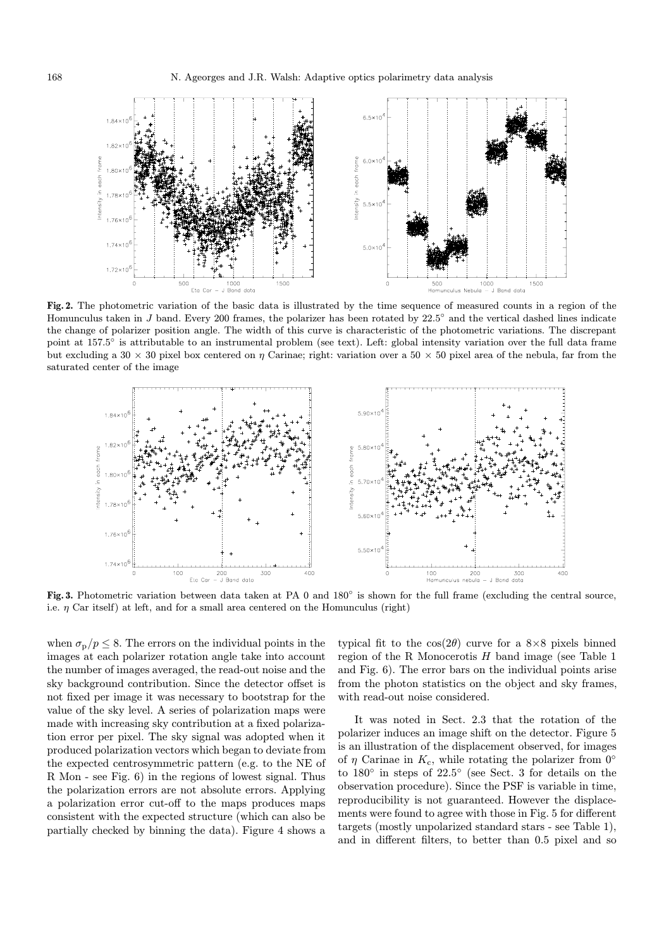

Fig. 2. The photometric variation of the basic data is illustrated by the time sequence of measured counts in a region of the Homunculus taken in J band. Every 200 frames, the polarizer has been rotated by 22.5◦ and the vertical dashed lines indicate the change of polarizer position angle. The width of this curve is characteristic of the photometric variations. The discrepant point at 157.5◦ is attributable to an instrumental problem (see text). Left: global intensity variation over the full data frame but excluding a 30  $\times$  30 pixel box centered on  $\eta$  Carinae; right: variation over a 50  $\times$  50 pixel area of the nebula, far from the saturated center of the image



Fig. 3. Photometric variation between data taken at PA 0 and 180° is shown for the full frame (excluding the central source, i.e.  $\eta$  Car itself) at left, and for a small area centered on the Homunculus (right)

when  $\sigma_{\rm p}/p \leq 8$ . The errors on the individual points in the images at each polarizer rotation angle take into account the number of images averaged, the read-out noise and the sky background contribution. Since the detector offset is not fixed per image it was necessary to bootstrap for the value of the sky level. A series of polarization maps were made with increasing sky contribution at a fixed polarization error per pixel. The sky signal was adopted when it produced polarization vectors which began to deviate from the expected centrosymmetric pattern (e.g. to the NE of R Mon - see Fig. 6) in the regions of lowest signal. Thus the polarization errors are not absolute errors. Applying a polarization error cut-off to the maps produces maps consistent with the expected structure (which can also be partially checked by binning the data). Figure 4 shows a

typical fit to the  $cos(2\theta)$  curve for a  $8\times8$  pixels binned region of the R Monocerotis  $H$  band image (see Table 1) and Fig. 6). The error bars on the individual points arise from the photon statistics on the object and sky frames, with read-out noise considered.

It was noted in Sect. 2.3 that the rotation of the polarizer induces an image shift on the detector. Figure 5 is an illustration of the displacement observed, for images of  $\eta$  Carinae in  $K_c$ , while rotating the polarizer from  $0^\circ$ to 180◦ in steps of 22.5◦ (see Sect. 3 for details on the observation procedure). Since the PSF is variable in time, reproducibility is not guaranteed. However the displacements were found to agree with those in Fig. 5 for different targets (mostly unpolarized standard stars - see Table 1), and in different filters, to better than 0.5 pixel and so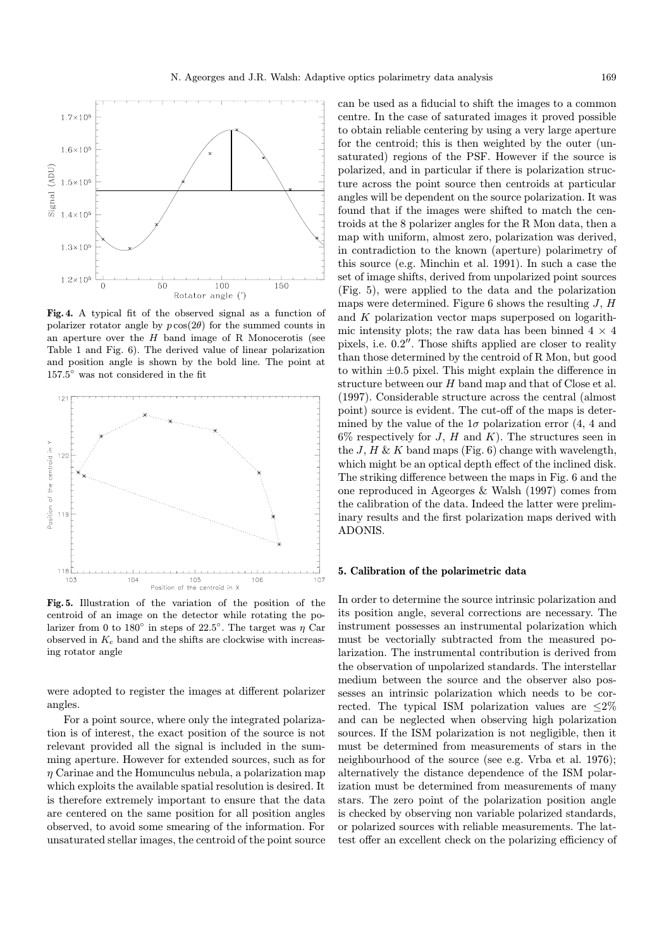

Fig. 4. A typical fit of the observed signal as a function of polarizer rotator angle by  $p \cos(2\theta)$  for the summed counts in an aperture over the  $H$  band image of R Monocerotis (see Table 1 and Fig. 6). The derived value of linear polarization and position angle is shown by the bold line. The point at 157.5◦ was not considered in the fit



Fig. 5. Illustration of the variation of the position of the centroid of an image on the detector while rotating the polarizer from 0 to 180 $\degree$  in steps of 22.5 $\degree$ . The target was  $\eta$  Car observed in  $K_c$  band and the shifts are clockwise with increasing rotator angle

were adopted to register the images at different polarizer angles.

For a point source, where only the integrated polarization is of interest, the exact position of the source is not relevant provided all the signal is included in the summing aperture. However for extended sources, such as for  $\eta$  Carinae and the Homunculus nebula, a polarization map which exploits the available spatial resolution is desired. It is therefore extremely important to ensure that the data are centered on the same position for all position angles observed, to avoid some smearing of the information. For unsaturated stellar images, the centroid of the point source

can be used as a fiducial to shift the images to a common centre. In the case of saturated images it proved possible to obtain reliable centering by using a very large aperture for the centroid; this is then weighted by the outer (unsaturated) regions of the PSF. However if the source is polarized, and in particular if there is polarization structure across the point source then centroids at particular angles will be dependent on the source polarization. It was found that if the images were shifted to match the centroids at the 8 polarizer angles for the R Mon data, then a map with uniform, almost zero, polarization was derived, in contradiction to the known (aperture) polarimetry of this source (e.g. Minchin et al. 1991). In such a case the set of image shifts, derived from unpolarized point sources (Fig. 5), were applied to the data and the polarization maps were determined. Figure 6 shows the resulting  $J, H$ and K polarization vector maps superposed on logarithmic intensity plots; the raw data has been binned  $4 \times 4$ pixels, i.e.  $0.2$ ". Those shifts applied are closer to reality than those determined by the centroid of R Mon, but good to within  $\pm 0.5$  pixel. This might explain the difference in structure between our H band map and that of Close et al. (1997). Considerable structure across the central (almost point) source is evident. The cut-off of the maps is determined by the value of the  $1\sigma$  polarization error (4, 4 and  $6\%$  respectively for J, H and K). The structures seen in the  $J, H \& K$  band maps (Fig. 6) change with wavelength, which might be an optical depth effect of the inclined disk. The striking difference between the maps in Fig. 6 and the one reproduced in Ageorges & Walsh (1997) comes from the calibration of the data. Indeed the latter were preliminary results and the first polarization maps derived with ADONIS.

#### 5. Calibration of the polarimetric data

In order to determine the source intrinsic polarization and its position angle, several corrections are necessary. The instrument possesses an instrumental polarization which must be vectorially subtracted from the measured polarization. The instrumental contribution is derived from the observation of unpolarized standards. The interstellar medium between the source and the observer also possesses an intrinsic polarization which needs to be corrected. The typical ISM polarization values are  $\leq 2\%$ and can be neglected when observing high polarization sources. If the ISM polarization is not negligible, then it must be determined from measurements of stars in the neighbourhood of the source (see e.g. Vrba et al. 1976); alternatively the distance dependence of the ISM polarization must be determined from measurements of many stars. The zero point of the polarization position angle is checked by observing non variable polarized standards, or polarized sources with reliable measurements. The lattest offer an excellent check on the polarizing efficiency of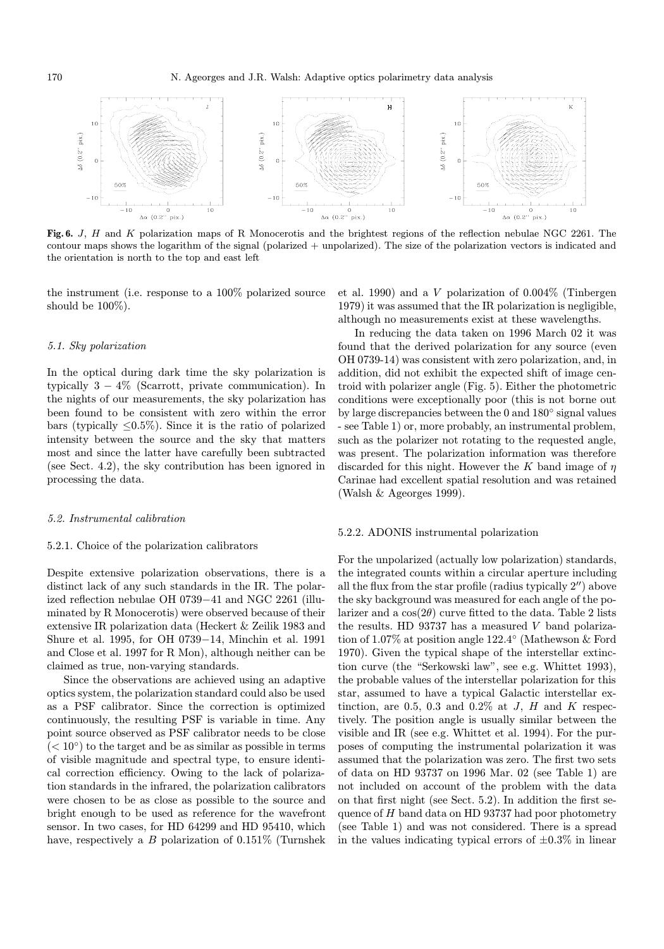

Fig. 6. J, H and K polarization maps of R Monocerotis and the brightest regions of the reflection nebulae NGC 2261. The contour maps shows the logarithm of the signal (polarized + unpolarized). The size of the polarization vectors is indicated and the orientation is north to the top and east left

the instrument (i.e. response to a 100% polarized source should be 100%).

## 5.1. Sky polarization

In the optical during dark time the sky polarization is typically  $3 - 4\%$  (Scarrott, private communication). In the nights of our measurements, the sky polarization has been found to be consistent with zero within the error bars (typically  $\leq 0.5\%$ ). Since it is the ratio of polarized intensity between the source and the sky that matters most and since the latter have carefully been subtracted (see Sect. 4.2), the sky contribution has been ignored in processing the data.

## 5.2. Instrumental calibration

#### 5.2.1. Choice of the polarization calibrators

Despite extensive polarization observations, there is a distinct lack of any such standards in the IR. The polarized reflection nebulae OH 0739−41 and NGC 2261 (illuminated by R Monocerotis) were observed because of their extensive IR polarization data (Heckert & Zeilik 1983 and Shure et al. 1995, for OH 0739−14, Minchin et al. 1991 and Close et al. 1997 for R Mon), although neither can be claimed as true, non-varying standards.

Since the observations are achieved using an adaptive optics system, the polarization standard could also be used as a PSF calibrator. Since the correction is optimized continuously, the resulting PSF is variable in time. Any point source observed as PSF calibrator needs to be close  $(< 10°)$  to the target and be as similar as possible in terms of visible magnitude and spectral type, to ensure identical correction efficiency. Owing to the lack of polarization standards in the infrared, the polarization calibrators were chosen to be as close as possible to the source and bright enough to be used as reference for the wavefront sensor. In two cases, for HD 64299 and HD 95410, which have, respectively a  $B$  polarization of 0.151% (Turnshek et al. 1990) and a V polarization of 0.004% (Tinbergen 1979) it was assumed that the IR polarization is negligible, although no measurements exist at these wavelengths.

In reducing the data taken on 1996 March 02 it was found that the derived polarization for any source (even OH 0739-14) was consistent with zero polarization, and, in addition, did not exhibit the expected shift of image centroid with polarizer angle (Fig. 5). Either the photometric conditions were exceptionally poor (this is not borne out by large discrepancies between the 0 and 180◦ signal values - see Table 1) or, more probably, an instrumental problem, such as the polarizer not rotating to the requested angle, was present. The polarization information was therefore discarded for this night. However the K band image of  $\eta$ Carinae had excellent spatial resolution and was retained (Walsh & Ageorges 1999).

#### 5.2.2. ADONIS instrumental polarization

For the unpolarized (actually low polarization) standards, the integrated counts within a circular aperture including all the flux from the star profile (radius typically  $2^{\prime\prime}$ ) above the sky background was measured for each angle of the polarizer and a  $\cos(2\theta)$  curve fitted to the data. Table 2 lists the results. HD 93737 has a measured V band polarization of 1.07% at position angle 122.4◦ (Mathewson & Ford 1970). Given the typical shape of the interstellar extinction curve (the "Serkowski law", see e.g. Whittet 1993), the probable values of the interstellar polarization for this star, assumed to have a typical Galactic interstellar extinction, are 0.5, 0.3 and 0.2% at  $J$ ,  $H$  and  $K$  respectively. The position angle is usually similar between the visible and IR (see e.g. Whittet et al. 1994). For the purposes of computing the instrumental polarization it was assumed that the polarization was zero. The first two sets of data on HD 93737 on 1996 Mar. 02 (see Table 1) are not included on account of the problem with the data on that first night (see Sect. 5.2). In addition the first sequence of  $H$  band data on HD 93737 had poor photometry (see Table 1) and was not considered. There is a spread in the values indicating typical errors of  $\pm 0.3\%$  in linear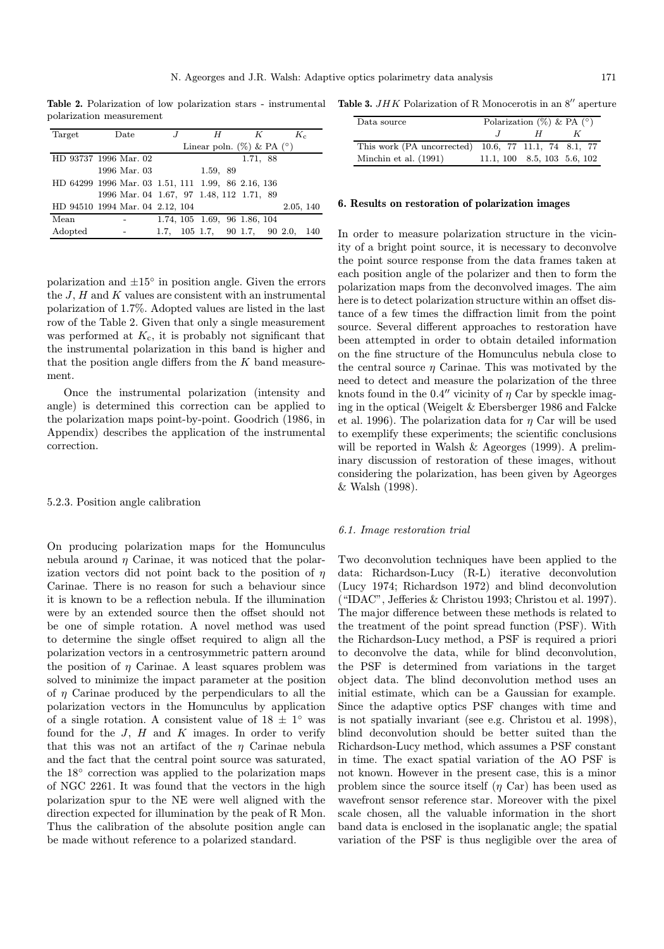polarization measurement

| Target  | Date                                               |                                | H        | K                             | $K_c$     |  |  |
|---------|----------------------------------------------------|--------------------------------|----------|-------------------------------|-----------|--|--|
|         |                                                    | Linear poln. $(\%)$ & PA $(°)$ |          |                               |           |  |  |
|         | HD 93737 1996 Mar. 02                              |                                |          | 1.71, 88                      |           |  |  |
|         | 1996 Mar. 03                                       |                                | 1.59, 89 |                               |           |  |  |
|         | HD 64299 1996 Mar. 03 1.51, 111 1.99, 86 2.16, 136 |                                |          |                               |           |  |  |
|         | 1996 Mar. 04 1.67, 97 1.48, 112 1.71, 89           |                                |          |                               |           |  |  |
|         | HD 94510 1994 Mar. 04 2.12, 104                    |                                |          |                               | 2.05, 140 |  |  |
| Mean    |                                                    |                                |          | 1.74, 105 1.69, 96 1.86, 104  |           |  |  |
| Adopted |                                                    |                                |          | 1.7, 105 1.7, 90 1.7, 90 2.0, | 140       |  |  |
|         |                                                    |                                |          |                               |           |  |  |

polarization and  $\pm 15^\circ$  in position angle. Given the errors the  $J$ ,  $H$  and  $K$  values are consistent with an instrumental polarization of 1.7%. Adopted values are listed in the last row of the Table 2. Given that only a single measurement was performed at  $K_c$ , it is probably not significant that the instrumental polarization in this band is higher and that the position angle differs from the  $K$  band measurement.

Once the instrumental polarization (intensity and angle) is determined this correction can be applied to the polarization maps point-by-point. Goodrich (1986, in Appendix) describes the application of the instrumental correction.

## 5.2.3. Position angle calibration

On producing polarization maps for the Homunculus nebula around  $\eta$  Carinae, it was noticed that the polarization vectors did not point back to the position of  $\eta$ Carinae. There is no reason for such a behaviour since it is known to be a reflection nebula. If the illumination were by an extended source then the offset should not be one of simple rotation. A novel method was used to determine the single offset required to align all the polarization vectors in a centrosymmetric pattern around the position of  $\eta$  Carinae. A least squares problem was solved to minimize the impact parameter at the position of  $\eta$  Carinae produced by the perpendiculars to all the polarization vectors in the Homunculus by application of a single rotation. A consistent value of  $18 \pm 1^\circ$  was found for the  $J$ ,  $H$  and  $K$  images. In order to verify that this was not an artifact of the  $\eta$  Carinae nebula and the fact that the central point source was saturated, the 18◦ correction was applied to the polarization maps of NGC 2261. It was found that the vectors in the high polarization spur to the NE were well aligned with the direction expected for illumination by the peak of R Mon. Thus the calibration of the absolute position angle can be made without reference to a polarized standard.

Table 2. Polarization of low polarization stars - instrumental Table 3.  $JHK$  Polarization of R Monocerotis in an  $8''$  aperture

| Data source                                          | Polarization $(\%)$ & PA $(°)$ |   |  |  |  |
|------------------------------------------------------|--------------------------------|---|--|--|--|
|                                                      |                                | H |  |  |  |
| This work (PA uncorrected) 10.6, 77 11.1, 74 8.1, 77 |                                |   |  |  |  |
| Minchin et al. $(1991)$                              | $11.1, 100$ 8.5, 103 5.6, 102  |   |  |  |  |

#### 6. Results on restoration of polarization images

In order to measure polarization structure in the vicinity of a bright point source, it is necessary to deconvolve the point source response from the data frames taken at each position angle of the polarizer and then to form the polarization maps from the deconvolved images. The aim here is to detect polarization structure within an offset distance of a few times the diffraction limit from the point source. Several different approaches to restoration have been attempted in order to obtain detailed information on the fine structure of the Homunculus nebula close to the central source  $\eta$  Carinae. This was motivated by the need to detect and measure the polarization of the three knots found in the 0.4" vicinity of  $\eta$  Car by speckle imaging in the optical (Weigelt & Ebersberger 1986 and Falcke et al. 1996). The polarization data for  $\eta$  Car will be used to exemplify these experiments; the scientific conclusions will be reported in Walsh & Ageorges (1999). A preliminary discussion of restoration of these images, without considering the polarization, has been given by Ageorges & Walsh (1998).

#### 6.1. Image restoration trial

Two deconvolution techniques have been applied to the data: Richardson-Lucy (R-L) iterative deconvolution (Lucy 1974; Richardson 1972) and blind deconvolution ("IDAC", Jefferies & Christou 1993; Christou et al. 1997). The major difference between these methods is related to the treatment of the point spread function (PSF). With the Richardson-Lucy method, a PSF is required a priori to deconvolve the data, while for blind deconvolution, the PSF is determined from variations in the target object data. The blind deconvolution method uses an initial estimate, which can be a Gaussian for example. Since the adaptive optics PSF changes with time and is not spatially invariant (see e.g. Christou et al. 1998), blind deconvolution should be better suited than the Richardson-Lucy method, which assumes a PSF constant in time. The exact spatial variation of the AO PSF is not known. However in the present case, this is a minor problem since the source itself  $(\eta \text{ Car})$  has been used as wavefront sensor reference star. Moreover with the pixel scale chosen, all the valuable information in the short band data is enclosed in the isoplanatic angle; the spatial variation of the PSF is thus negligible over the area of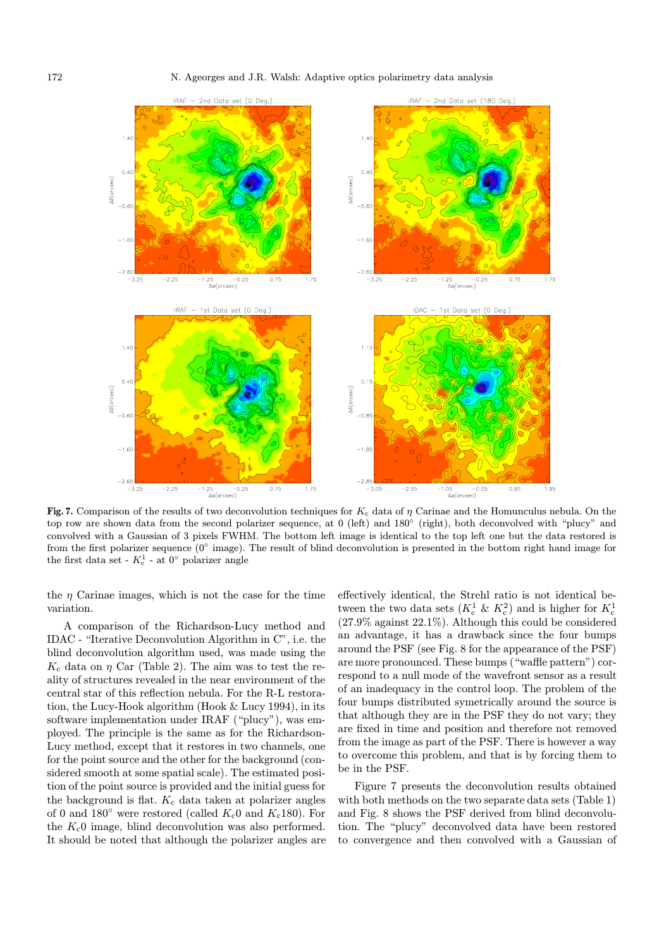

Fig. 7. Comparison of the results of two deconvolution techniques for  $K_c$  data of  $\eta$  Carinae and the Homunculus nebula. On the top row are shown data from the second polarizer sequence, at 0 (left) and 180◦ (right), both deconvolved with "plucy" and convolved with a Gaussian of 3 pixels FWHM. The bottom left image is identical to the top left one but the data restored is from the first polarizer sequence  $(0° \text{ image})$ . The result of blind deconvolution is presented in the bottom right hand image for the first data set -  $K_c^1$  - at  $0^{\circ}$  polarizer angle

the  $\eta$  Carinae images, which is not the case for the time variation.

A comparison of the Richardson-Lucy method and IDAC - "Iterative Deconvolution Algorithm in C", i.e. the blind deconvolution algorithm used, was made using the  $K_c$  data on  $\eta$  Car (Table 2). The aim was to test the reality of structures revealed in the near environment of the central star of this reflection nebula. For the R-L restoration, the Lucy-Hook algorithm (Hook & Lucy 1994), in its software implementation under IRAF ("plucy"), was employed. The principle is the same as for the Richardson-Lucy method, except that it restores in two channels, one for the point source and the other for the background (considered smooth at some spatial scale). The estimated position of the point source is provided and the initial guess for the background is flat.  $K_c$  data taken at polarizer angles of 0 and 180 $\degree$  were restored (called  $K_c$ 0 and  $K_c$ 180). For the  $K_c$ 0 image, blind deconvolution was also performed. It should be noted that although the polarizer angles are effectively identical, the Strehl ratio is not identical between the two data sets ( $K_c^1 \& K_c^2$ ) and is higher for  $K_c^1$ (27.9% against 22.1%). Although this could be considered an advantage, it has a drawback since the four bumps around the PSF (see Fig. 8 for the appearance of the PSF) are more pronounced. These bumps ("waffle pattern") correspond to a null mode of the wavefront sensor as a result of an inadequacy in the control loop. The problem of the four bumps distributed symetrically around the source is that although they are in the PSF they do not vary; they are fixed in time and position and therefore not removed from the image as part of the PSF. There is however a way to overcome this problem, and that is by forcing them to be in the PSF.

Figure 7 presents the deconvolution results obtained with both methods on the two separate data sets (Table 1) and Fig. 8 shows the PSF derived from blind deconvolution. The "plucy" deconvolved data have been restored to convergence and then convolved with a Gaussian of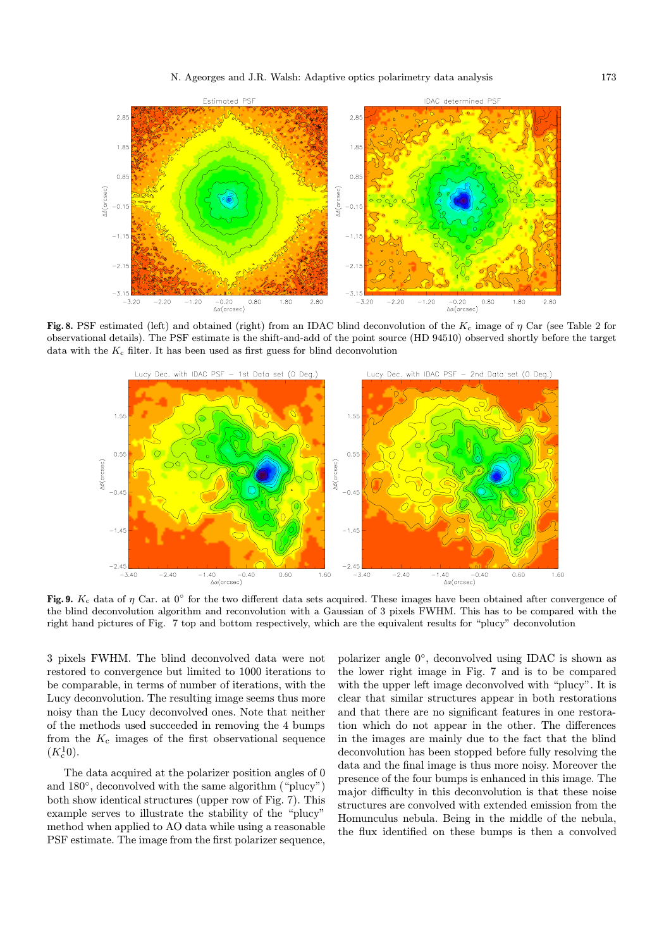

Fig. 8. PSF estimated (left) and obtained (right) from an IDAC blind deconvolution of the  $K_c$  image of  $\eta$  Car (see Table 2 for observational details). The PSF estimate is the shift-and-add of the point source (HD 94510) observed shortly before the target data with the  $K_c$  filter. It has been used as first guess for blind deconvolution



Fig. 9.  $K_c$  data of  $\eta$  Car. at  $0^\circ$  for the two different data sets acquired. These images have been obtained after convergence of the blind deconvolution algorithm and reconvolution with a Gaussian of 3 pixels FWHM. This has to be compared with the right hand pictures of Fig. 7 top and bottom respectively, which are the equivalent results for "plucy" deconvolution

3 pixels FWHM. The blind deconvolved data were not restored to convergence but limited to 1000 iterations to be comparable, in terms of number of iterations, with the Lucy deconvolution. The resulting image seems thus more noisy than the Lucy deconvolved ones. Note that neither of the methods used succeeded in removing the 4 bumps from the  $K_c$  images of the first observational sequence  $(K_c^1 0).$ 

The data acquired at the polarizer position angles of 0 and 180◦, deconvolved with the same algorithm ("plucy") both show identical structures (upper row of Fig. 7). This example serves to illustrate the stability of the "plucy" method when applied to AO data while using a reasonable PSF estimate. The image from the first polarizer sequence, polarizer angle 0◦, deconvolved using IDAC is shown as the lower right image in Fig. 7 and is to be compared with the upper left image deconvolved with "plucy". It is clear that similar structures appear in both restorations and that there are no significant features in one restoration which do not appear in the other. The differences in the images are mainly due to the fact that the blind deconvolution has been stopped before fully resolving the data and the final image is thus more noisy. Moreover the presence of the four bumps is enhanced in this image. The major difficulty in this deconvolution is that these noise structures are convolved with extended emission from the Homunculus nebula. Being in the middle of the nebula, the flux identified on these bumps is then a convolved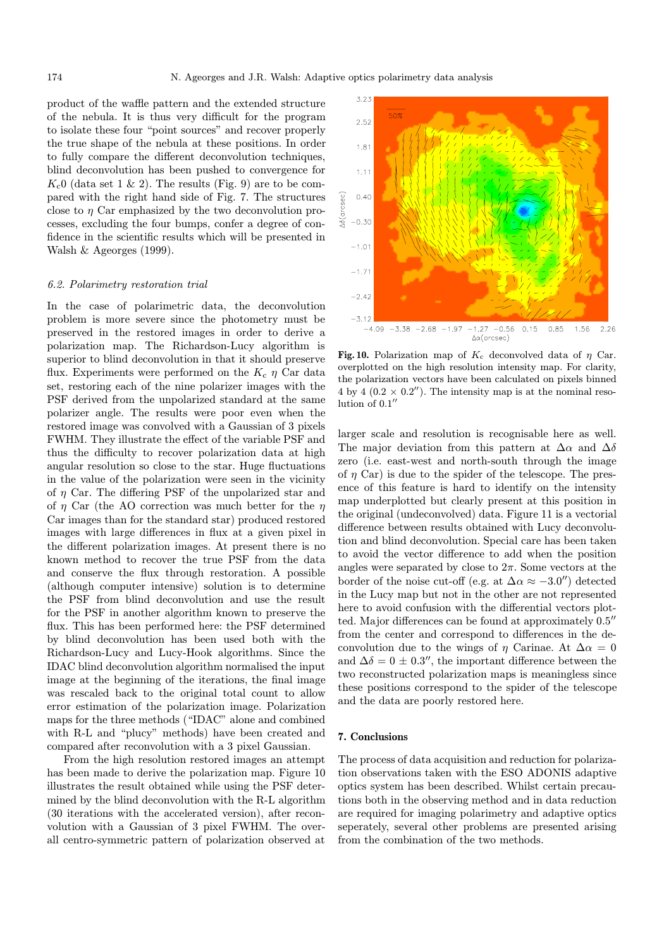product of the waffle pattern and the extended structure of the nebula. It is thus very difficult for the program to isolate these four "point sources" and recover properly the true shape of the nebula at these positions. In order to fully compare the different deconvolution techniques, blind deconvolution has been pushed to convergence for  $K<sub>c</sub>0$  (data set 1 & 2). The results (Fig. 9) are to be compared with the right hand side of Fig. 7. The structures close to  $\eta$  Car emphasized by the two deconvolution processes, excluding the four bumps, confer a degree of confidence in the scientific results which will be presented in Walsh & Ageorges (1999).

#### 6.2. Polarimetry restoration trial

In the case of polarimetric data, the deconvolution problem is more severe since the photometry must be preserved in the restored images in order to derive a polarization map. The Richardson-Lucy algorithm is superior to blind deconvolution in that it should preserve flux. Experiments were performed on the  $K_c$   $\eta$  Car data set, restoring each of the nine polarizer images with the PSF derived from the unpolarized standard at the same polarizer angle. The results were poor even when the restored image was convolved with a Gaussian of 3 pixels FWHM. They illustrate the effect of the variable PSF and thus the difficulty to recover polarization data at high angular resolution so close to the star. Huge fluctuations in the value of the polarization were seen in the vicinity of  $\eta$  Car. The differing PSF of the unpolarized star and of  $\eta$  Car (the AO correction was much better for the  $\eta$ Car images than for the standard star) produced restored images with large differences in flux at a given pixel in the different polarization images. At present there is no known method to recover the true PSF from the data and conserve the flux through restoration. A possible (although computer intensive) solution is to determine the PSF from blind deconvolution and use the result for the PSF in another algorithm known to preserve the flux. This has been performed here: the PSF determined by blind deconvolution has been used both with the Richardson-Lucy and Lucy-Hook algorithms. Since the IDAC blind deconvolution algorithm normalised the input image at the beginning of the iterations, the final image was rescaled back to the original total count to allow error estimation of the polarization image. Polarization maps for the three methods ("IDAC" alone and combined with R-L and "plucy" methods) have been created and compared after reconvolution with a 3 pixel Gaussian.

From the high resolution restored images an attempt has been made to derive the polarization map. Figure 10 illustrates the result obtained while using the PSF determined by the blind deconvolution with the R-L algorithm (30 iterations with the accelerated version), after reconvolution with a Gaussian of 3 pixel FWHM. The overall centro-symmetric pattern of polarization observed at



Fig. 10. Polarization map of  $K_c$  deconvolved data of  $\eta$  Car. overplotted on the high resolution intensity map. For clarity, the polarization vectors have been calculated on pixels binned 4 by 4 (0.2  $\times$  0.2"). The intensity map is at the nominal resolution of  $0.1$ "

larger scale and resolution is recognisable here as well. The major deviation from this pattern at  $\Delta \alpha$  and  $\Delta \delta$ zero (i.e. east-west and north-south through the image of  $\eta$  Car) is due to the spider of the telescope. The presence of this feature is hard to identify on the intensity map underplotted but clearly present at this position in the original (undeconvolved) data. Figure 11 is a vectorial difference between results obtained with Lucy deconvolution and blind deconvolution. Special care has been taken to avoid the vector difference to add when the position angles were separated by close to  $2\pi$ . Some vectors at the border of the noise cut-off (e.g. at  $\Delta \alpha \approx -3.0$ ) detected in the Lucy map but not in the other are not represented here to avoid confusion with the differential vectors plotted. Major differences can be found at approximately  $0.5$ <sup>n</sup> from the center and correspond to differences in the deconvolution due to the wings of  $\eta$  Carinae. At  $\Delta \alpha = 0$ and  $\Delta \delta = 0 \pm 0.3$ ", the important difference between the two reconstructed polarization maps is meaningless since these positions correspond to the spider of the telescope and the data are poorly restored here.

## 7. Conclusions

The process of data acquisition and reduction for polarization observations taken with the ESO ADONIS adaptive optics system has been described. Whilst certain precautions both in the observing method and in data reduction are required for imaging polarimetry and adaptive optics seperately, several other problems are presented arising from the combination of the two methods.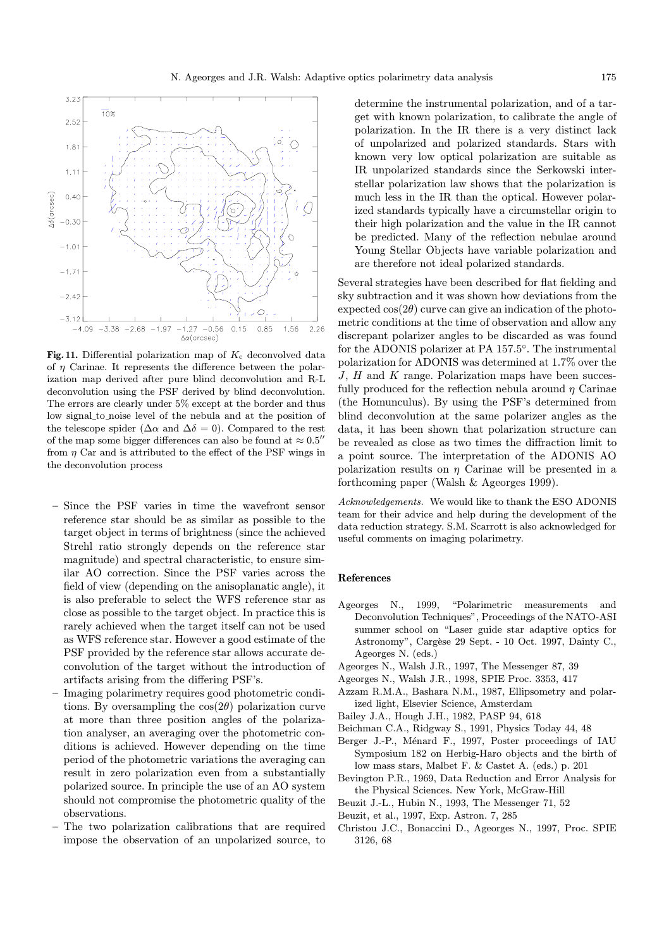

Fig. 11. Differential polarization map of  $K_c$  deconvolved data of  $\eta$  Carinae. It represents the difference between the polarization map derived after pure blind deconvolution and R-L deconvolution using the PSF derived by blind deconvolution. The errors are clearly under 5% except at the border and thus low signal to noise level of the nebula and at the position of the telescope spider ( $\Delta \alpha$  and  $\Delta \delta = 0$ ). Compared to the rest of the map some bigger differences can also be found at  $\approx 0.5$ " from  $\eta$  Car and is attributed to the effect of the PSF wings in the deconvolution process

- Since the PSF varies in time the wavefront sensor reference star should be as similar as possible to the target object in terms of brightness (since the achieved Strehl ratio strongly depends on the reference star magnitude) and spectral characteristic, to ensure similar AO correction. Since the PSF varies across the field of view (depending on the anisoplanatic angle), it is also preferable to select the WFS reference star as close as possible to the target object. In practice this is rarely achieved when the target itself can not be used as WFS reference star. However a good estimate of the PSF provided by the reference star allows accurate deconvolution of the target without the introduction of artifacts arising from the differing PSF's.
- Imaging polarimetry requires good photometric conditions. By oversampling the  $cos(2\theta)$  polarization curve at more than three position angles of the polarization analyser, an averaging over the photometric conditions is achieved. However depending on the time period of the photometric variations the averaging can result in zero polarization even from a substantially polarized source. In principle the use of an AO system should not compromise the photometric quality of the observations.
- The two polarization calibrations that are required impose the observation of an unpolarized source, to

determine the instrumental polarization, and of a target with known polarization, to calibrate the angle of polarization. In the IR there is a very distinct lack of unpolarized and polarized standards. Stars with known very low optical polarization are suitable as IR unpolarized standards since the Serkowski interstellar polarization law shows that the polarization is much less in the IR than the optical. However polarized standards typically have a circumstellar origin to their high polarization and the value in the IR cannot be predicted. Many of the reflection nebulae around Young Stellar Objects have variable polarization and are therefore not ideal polarized standards.

Several strategies have been described for flat fielding and sky subtraction and it was shown how deviations from the expected  $cos(2\theta)$  curve can give an indication of the photometric conditions at the time of observation and allow any discrepant polarizer angles to be discarded as was found for the ADONIS polarizer at PA 157.5◦. The instrumental polarization for ADONIS was determined at 1.7% over the  $J, H$  and  $K$  range. Polarization maps have been succesfully produced for the reflection nebula around  $\eta$  Carinae (the Homunculus). By using the PSF's determined from blind deconvolution at the same polarizer angles as the data, it has been shown that polarization structure can be revealed as close as two times the diffraction limit to a point source. The interpretation of the ADONIS AO polarization results on  $\eta$  Carinae will be presented in a forthcoming paper (Walsh & Ageorges 1999).

Acknowledgements. We would like to thank the ESO ADONIS team for their advice and help during the development of the data reduction strategy. S.M. Scarrott is also acknowledged for useful comments on imaging polarimetry.

# References

- Ageorges N., 1999, "Polarimetric measurements and Deconvolution Techniques", Proceedings of the NATO-ASI summer school on "Laser guide star adaptive optics for Astronomy", Cargèse 29 Sept. - 10 Oct. 1997, Dainty C., Ageorges N. (eds.)
- Ageorges N., Walsh J.R., 1997, The Messenger 87, 39
- Ageorges N., Walsh J.R., 1998, SPIE Proc. 3353, 417
- Azzam R.M.A., Bashara N.M., 1987, Ellipsometry and polarized light, Elsevier Science, Amsterdam
- Bailey J.A., Hough J.H., 1982, PASP 94, 618
- Beichman C.A., Ridgway S., 1991, Physics Today 44, 48
- Berger J.-P., Ménard F., 1997, Poster proceedings of IAU Symposium 182 on Herbig-Haro objects and the birth of low mass stars, Malbet F. & Castet A. (eds.) p. 201
- Bevington P.R., 1969, Data Reduction and Error Analysis for the Physical Sciences. New York, McGraw-Hill
- Beuzit J.-L., Hubin N., 1993, The Messenger 71, 52
- Beuzit, et al., 1997, Exp. Astron. 7, 285
- Christou J.C., Bonaccini D., Ageorges N., 1997, Proc. SPIE 3126, 68